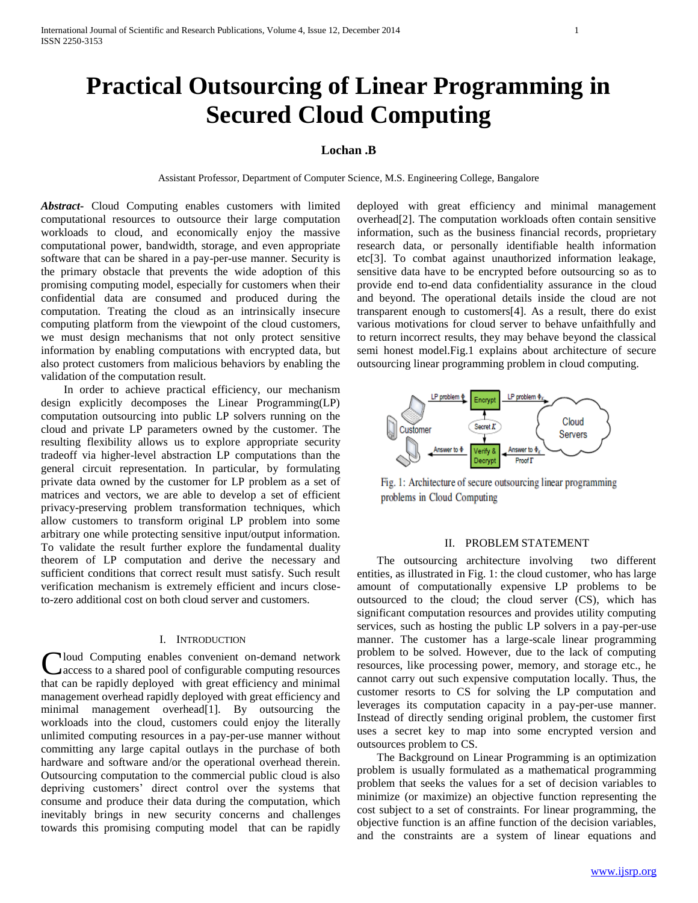# **Practical Outsourcing of Linear Programming in Secured Cloud Computing**

## **Lochan .B**

Assistant Professor, Department of Computer Science, M.S. Engineering College, Bangalore

*Abstract***-** Cloud Computing enables customers with limited computational resources to outsource their large computation workloads to cloud, and economically enjoy the massive computational power, bandwidth, storage, and even appropriate software that can be shared in a pay-per-use manner. Security is the primary obstacle that prevents the wide adoption of this promising computing model, especially for customers when their confidential data are consumed and produced during the computation. Treating the cloud as an intrinsically insecure computing platform from the viewpoint of the cloud customers, we must design mechanisms that not only protect sensitive information by enabling computations with encrypted data, but also protect customers from malicious behaviors by enabling the validation of the computation result.

 In order to achieve practical efficiency, our mechanism design explicitly decomposes the Linear Programming(LP) computation outsourcing into public LP solvers running on the cloud and private LP parameters owned by the customer. The resulting flexibility allows us to explore appropriate security tradeoff via higher-level abstraction LP computations than the general circuit representation. In particular, by formulating private data owned by the customer for LP problem as a set of matrices and vectors, we are able to develop a set of efficient privacy-preserving problem transformation techniques, which allow customers to transform original LP problem into some arbitrary one while protecting sensitive input/output information. To validate the result further explore the fundamental duality theorem of LP computation and derive the necessary and sufficient conditions that correct result must satisfy. Such result verification mechanism is extremely efficient and incurs closeto-zero additional cost on both cloud server and customers.

#### I. INTRODUCTION

Cloud Computing enables convenient on-demand network<br>
Caccess to a shared pool of configurable computing resources access to a shared pool of configurable computing resources that can be rapidly deployed with great efficiency and minimal management overhead rapidly deployed with great efficiency and minimal management overhead[1]. By outsourcing the workloads into the cloud, customers could enjoy the literally unlimited computing resources in a pay-per-use manner without committing any large capital outlays in the purchase of both hardware and software and/or the operational overhead therein. Outsourcing computation to the commercial public cloud is also depriving customers' direct control over the systems that consume and produce their data during the computation, which inevitably brings in new security concerns and challenges towards this promising computing model that can be rapidly

deployed with great efficiency and minimal management overhead[2]. The computation workloads often contain sensitive information, such as the business financial records, proprietary research data, or personally identifiable health information etc[3]. To combat against unauthorized information leakage, sensitive data have to be encrypted before outsourcing so as to provide end to-end data confidentiality assurance in the cloud and beyond. The operational details inside the cloud are not transparent enough to customers[4]. As a result, there do exist various motivations for cloud server to behave unfaithfully and to return incorrect results, they may behave beyond the classical semi honest model.Fig.1 explains about architecture of secure outsourcing linear programming problem in cloud computing.



Fig. 1: Architecture of secure outsourcing linear programming problems in Cloud Computing

#### II. PROBLEM STATEMENT

 The outsourcing architecture involving two different entities, as illustrated in Fig. 1: the cloud customer, who has large amount of computationally expensive LP problems to be outsourced to the cloud; the cloud server (CS), which has significant computation resources and provides utility computing services, such as hosting the public LP solvers in a pay-per-use manner. The customer has a large-scale linear programming problem to be solved. However, due to the lack of computing resources, like processing power, memory, and storage etc., he cannot carry out such expensive computation locally. Thus, the customer resorts to CS for solving the LP computation and leverages its computation capacity in a pay-per-use manner. Instead of directly sending original problem, the customer first uses a secret key to map into some encrypted version and outsources problem to CS.

 The Background on Linear Programming is an optimization problem is usually formulated as a mathematical programming problem that seeks the values for a set of decision variables to minimize (or maximize) an objective function representing the cost subject to a set of constraints. For linear programming, the objective function is an affine function of the decision variables, and the constraints are a system of linear equations and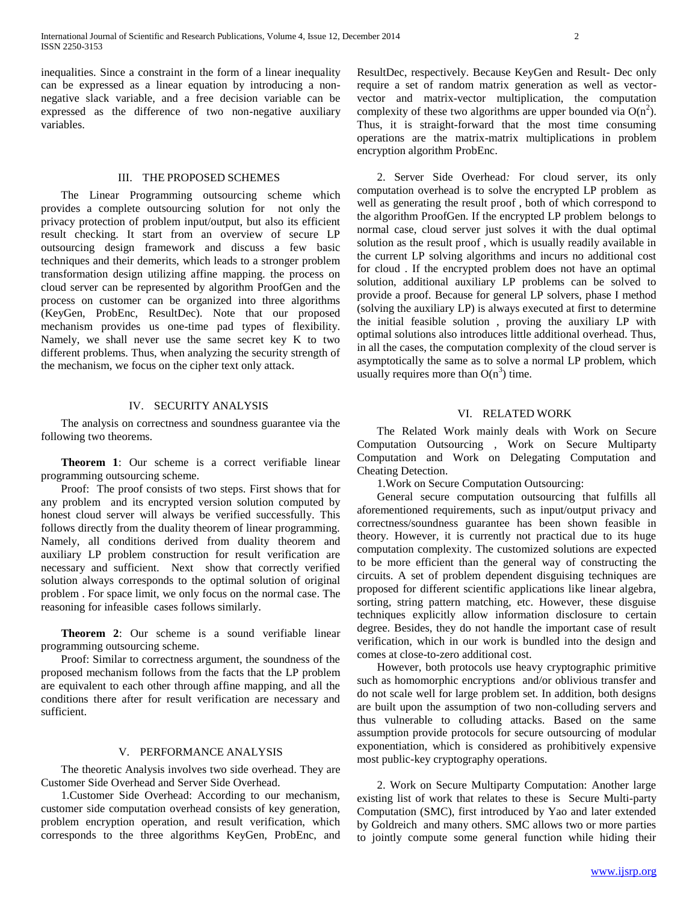inequalities. Since a constraint in the form of a linear inequality can be expressed as a linear equation by introducing a nonnegative slack variable, and a free decision variable can be expressed as the difference of two non-negative auxiliary variables.

#### III. THE PROPOSED SCHEMES

 The Linear Programming outsourcing scheme which provides a complete outsourcing solution for not only the privacy protection of problem input/output, but also its efficient result checking. It start from an overview of secure LP outsourcing design framework and discuss a few basic techniques and their demerits, which leads to a stronger problem transformation design utilizing affine mapping. the process on cloud server can be represented by algorithm ProofGen and the process on customer can be organized into three algorithms (KeyGen, ProbEnc, ResultDec). Note that our proposed mechanism provides us one-time pad types of flexibility. Namely, we shall never use the same secret key K to two different problems. Thus, when analyzing the security strength of the mechanism, we focus on the cipher text only attack.

#### IV. SECURITY ANALYSIS

 The analysis on correctness and soundness guarantee via the following two theorems.

 **Theorem 1**: Our scheme is a correct verifiable linear programming outsourcing scheme.

 Proof: The proof consists of two steps. First shows that for any problem and its encrypted version solution computed by honest cloud server will always be verified successfully. This follows directly from the duality theorem of linear programming. Namely, all conditions derived from duality theorem and auxiliary LP problem construction for result verification are necessary and sufficient. Next show that correctly verified solution always corresponds to the optimal solution of original problem . For space limit, we only focus on the normal case. The reasoning for infeasible cases follows similarly.

 **Theorem 2**: Our scheme is a sound verifiable linear programming outsourcing scheme.

 Proof: Similar to correctness argument, the soundness of the proposed mechanism follows from the facts that the LP problem are equivalent to each other through affine mapping, and all the conditions there after for result verification are necessary and sufficient.

#### V. PERFORMANCE ANALYSIS

 The theoretic Analysis involves two side overhead. They are Customer Side Overhead and Server Side Overhead.

 1.Customer Side Overhead: According to our mechanism, customer side computation overhead consists of key generation, problem encryption operation, and result verification, which corresponds to the three algorithms KeyGen, ProbEnc, and

ResultDec, respectively. Because KeyGen and Result- Dec only require a set of random matrix generation as well as vectorvector and matrix-vector multiplication, the computation complexity of these two algorithms are upper bounded via  $O(n^2)$ . Thus, it is straight-forward that the most time consuming operations are the matrix-matrix multiplications in problem encryption algorithm ProbEnc.

 2. Server Side Overhead*:* For cloud server, its only computation overhead is to solve the encrypted LP problem as well as generating the result proof , both of which correspond to the algorithm ProofGen. If the encrypted LP problem belongs to normal case, cloud server just solves it with the dual optimal solution as the result proof , which is usually readily available in the current LP solving algorithms and incurs no additional cost for cloud . If the encrypted problem does not have an optimal solution, additional auxiliary LP problems can be solved to provide a proof. Because for general LP solvers, phase I method (solving the auxiliary LP) is always executed at first to determine the initial feasible solution , proving the auxiliary LP with optimal solutions also introduces little additional overhead. Thus, in all the cases, the computation complexity of the cloud server is asymptotically the same as to solve a normal LP problem, which usually requires more than  $O(n^3)$  time.

### VI. RELATED WORK

 The Related Work mainly deals with Work on Secure Computation Outsourcing *,* Work on Secure Multiparty Computation and Work on Delegating Computation and Cheating Detection.

1.Work on Secure Computation Outsourcing:

 General secure computation outsourcing that fulfills all aforementioned requirements, such as input/output privacy and correctness/soundness guarantee has been shown feasible in theory. However, it is currently not practical due to its huge computation complexity. The customized solutions are expected to be more efficient than the general way of constructing the circuits. A set of problem dependent disguising techniques are proposed for different scientific applications like linear algebra, sorting, string pattern matching, etc. However, these disguise techniques explicitly allow information disclosure to certain degree. Besides, they do not handle the important case of result verification, which in our work is bundled into the design and comes at close-to-zero additional cost.

 However, both protocols use heavy cryptographic primitive such as homomorphic encryptions and/or oblivious transfer and do not scale well for large problem set. In addition, both designs are built upon the assumption of two non-colluding servers and thus vulnerable to colluding attacks. Based on the same assumption provide protocols for secure outsourcing of modular exponentiation, which is considered as prohibitively expensive most public-key cryptography operations.

 2. Work on Secure Multiparty Computation: Another large existing list of work that relates to these is Secure Multi-party Computation (SMC), first introduced by Yao and later extended by Goldreich and many others. SMC allows two or more parties to jointly compute some general function while hiding their